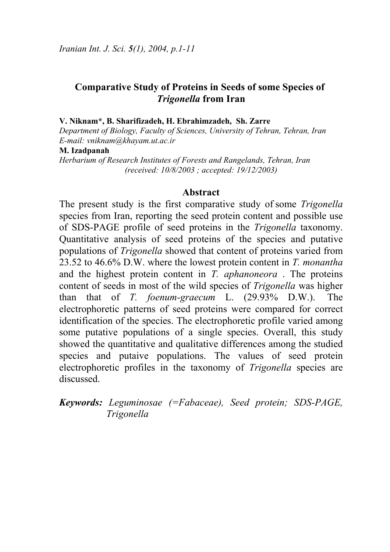# **Comparative Study of Proteins in Seeds of some Species of** *Trigonella* **from Iran**

#### **V. Niknam\*, B. Sharifizadeh, H. Ebrahimzadeh, Sh. Zarre**

*Department of Biology, Faculty of Sciences, University of Tehran, Tehran, Iran E-mail: vniknam@khayam.ut.ac.ir* 

#### **M. Izadpanah**

*Herbarium of Research Institutes of Forests and Rangelands, Tehran, Iran (received: 10/8/2003 ; accepted: 19/12/2003)* 

### **Abstract**

The present study is the first comparative study of some *Trigonella* species from Iran, reporting the seed protein content and possible use of SDS-PAGE profile of seed proteins in the *Trigonella* taxonomy. Quantitative analysis of seed proteins of the species and putative populations of *Trigonella* showed that content of proteins varied from 23.52 to 46.6% D.W. where the lowest protein content in *T. monantha* and the highest protein content in *T. aphanoneora* . The proteins content of seeds in most of the wild species of *Trigonella* was higher than that of *T. foenum-graecum* L. (29.93% D.W.). The electrophoretic patterns of seed proteins were compared for correct identification of the species. The electrophoretic profile varied among some putative populations of a single species. Overall, this study showed the quantitative and qualitative differences among the studied species and putaive populations. The values of seed protein electrophoretic profiles in the taxonomy of *Trigonella* species are discussed.

*Keywords: Leguminosae (=Fabaceae), Seed protein; SDS-PAGE, Trigonella*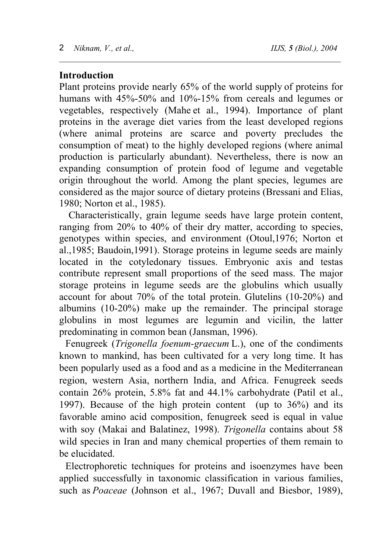# **Introduction**

Plant proteins provide nearly 65% of the world supply of proteins for humans with 45%-50% and 10%-15% from cereals and legumes or vegetables, respectively (Mahe et al., 1994). Importance of plant proteins in the average diet varies from the least developed regions (where animal proteins are scarce and poverty precludes the consumption of meat) to the highly developed regions (where animal production is particularly abundant). Nevertheless, there is now an expanding consumption of protein food of legume and vegetable origin throughout the world. Among the plant species, legumes are considered as the major source of dietary proteins (Bressani and Elias, 1980; Norton et al., 1985).

\_\_\_\_\_\_\_\_\_\_\_\_\_\_\_\_\_\_\_\_\_\_\_\_\_\_\_\_\_\_\_\_\_\_\_\_\_\_\_\_\_\_\_\_\_\_\_\_\_\_\_\_\_\_\_\_\_\_\_\_\_\_\_\_\_\_\_

Characteristically, grain legume seeds have large protein content, ranging from 20% to 40% of their dry matter, according to species, genotypes within species, and environment (Otoul,1976; Norton et al.,1985; Baudoin,1991). Storage proteins in legume seeds are mainly located in the cotyledonary tissues. Embryonic axis and testas contribute represent small proportions of the seed mass. The major storage proteins in legume seeds are the globulins which usually account for about 70% of the total protein. Glutelins (10-20%) and albumins (10-20%) make up the remainder. The principal storage globulins in most legumes are legumin and vicilin, the latter predominating in common bean (Jansman, 1996).

Fenugreek (*Trigonella foenum-graecum* L.), one of the condiments known to mankind, has been cultivated for a very long time. It has been popularly used as a food and as a medicine in the Mediterranean region, western Asia, northern India, and Africa. Fenugreek seeds contain 26% protein, 5.8% fat and 44.1% carbohydrate (Patil et al., 1997). Because of the high protein content (up to 36%) and its favorable amino acid composition, fenugreek seed is equal in value with soy (Makai and Balatinez, 1998). *Trigonella* contains about 58 wild species in Iran and many chemical properties of them remain to be elucidated.

Electrophoretic techniques for proteins and isoenzymes have been applied successfully in taxonomic classification in various families, such as *Poaceae* (Johnson et al., 1967; Duvall and Biesbor, 1989),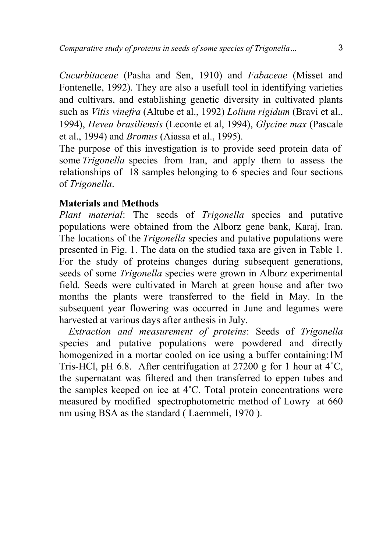*Cucurbitaceae* (Pasha and Sen, 1910) and *Fabaceae* (Misset and Fontenelle, 1992). They are also a usefull tool in identifying varieties and cultivars, and establishing genetic diversity in cultivated plants such as *Vitis vinefra* (Altube et al., 1992) *Lolium rigidum* (Bravi et al., 1994), *Hevea brasiliensis* (Leconte et al, 1994), *Glycine max* (Pascale et al., 1994) and *Bromus* (Aiassa et al., 1995).

 $\_$  , and the set of the set of the set of the set of the set of the set of the set of the set of the set of the set of the set of the set of the set of the set of the set of the set of the set of the set of the set of th

The purpose of this investigation is to provide seed protein data of some *Trigonella* species from Iran, and apply them to assess the relationships of 18 samples belonging to 6 species and four sections of *Trigonella*.

# **Materials and Methods**

*Plant material*: The seeds of *Trigonella* species and putative populations were obtained from the Alborz gene bank, Karaj, Iran. The locations of the *Trigonella* species and putative populations were presented in Fig. 1. The data on the studied taxa are given in Table 1. For the study of proteins changes during subsequent generations, seeds of some *Trigonella* species were grown in Alborz experimental field. Seeds were cultivated in March at green house and after two months the plants were transferred to the field in May. In the subsequent year flowering was occurred in June and legumes were harvested at various days after anthesis in July.

*Extraction and measurement of proteins*: Seeds of *Trigonella* species and putative populations were powdered and directly homogenized in a mortar cooled on ice using a buffer containing:1M Tris-HCl, pH 6.8. After centrifugation at 27200 g for 1 hour at 4˚C, the supernatant was filtered and then transferred to eppen tubes and the samples keeped on ice at 4˚C. Total protein concentrations were measured by modified spectrophotometric method of Lowry at 660 nm using BSA as the standard ( Laemmeli, 1970 ).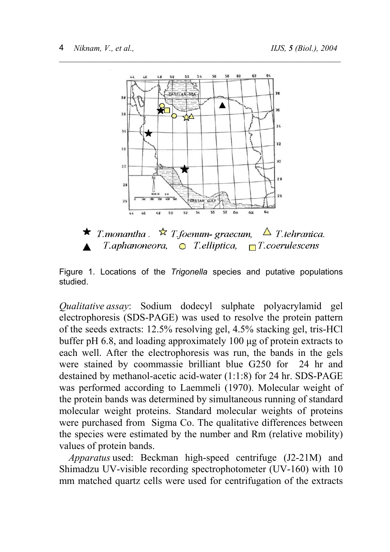

\_\_\_\_\_\_\_\_\_\_\_\_\_\_\_\_\_\_\_\_\_\_\_\_\_\_\_\_\_\_\_\_\_\_\_\_\_\_\_\_\_\_\_\_\_\_\_\_\_\_\_\_\_\_\_\_\_\_\_\_\_\_\_\_\_\_\_

T.monantha  $\mathbb{R}$  T.foenum-graecum.  $\Delta$  T tehranica.  $T$ .aphanoneora,  $\bigcirc$  T.elliptica,  $\neg$ T.coerulescens

Figure 1. Locations of the *Trigonella* species and putative populations studied.

*Qualitative assay*: Sodium dodecyl sulphate polyacrylamid gel electrophoresis (SDS-PAGE) was used to resolve the protein pattern of the seeds extracts: 12.5% resolving gel, 4.5% stacking gel, tris-HCl buffer pH 6.8, and loading approximately 100 µg of protein extracts to each well. After the electrophoresis was run, the bands in the gels were stained by coommassie brilliant blue G250 for 24 hr and destained by methanol-acetic acid-water (1:1:8) for 24 hr. SDS-PAGE was performed according to Laemmeli (1970). Molecular weight of the protein bands was determined by simultaneous running of standard molecular weight proteins. Standard molecular weights of proteins were purchased from Sigma Co. The qualitative differences between the species were estimated by the number and Rm (relative mobility) values of protein bands.

*Apparatus* used: Beckman high-speed centrifuge (J2-21M) and Shimadzu UV-visible recording spectrophotometer (UV-160) with 10 mm matched quartz cells were used for centrifugation of the extracts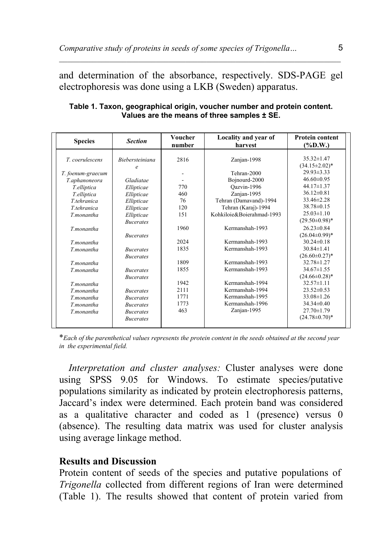and determination of the absorbance, respectively. SDS-PAGE gel electrophoresis was done using a LKB (Sweden) apparatus.

 $\_$  , and the set of the set of the set of the set of the set of the set of the set of the set of the set of the set of the set of the set of the set of the set of the set of the set of the set of the set of the set of th

| <b>Species</b>    | <b>Section</b>                              | Voucher<br>number        | Locality and year of<br>harvest | <b>Protein content</b><br>$(\%D.W.)$     |
|-------------------|---------------------------------------------|--------------------------|---------------------------------|------------------------------------------|
| T. coerulescens   | <i><b>Biebersteiniana</b></i><br>$\epsilon$ | 2816                     | Zanjan-1998                     | $35.32 \pm 1.47$<br>$(34.15 \pm 2.02)^*$ |
| T. foenum-graecum |                                             | $\overline{\phantom{a}}$ | Tehran-2000                     | $29.93 \pm 3.33$                         |
| T.aphanoneora     | Gladiatae                                   |                          | Bojnourd-2000                   | $46.60 \pm 0.95$                         |
| T.elliptica       | Ellipticae                                  | 770                      | Oazvin-1996                     | $44.17 \pm 1.37$                         |
| T.elliptica       | Ellipticae                                  | 460                      | Zanjan-1995                     | $36.12 \pm 0.81$                         |
| T.tehranica       | Ellipticae                                  | 76                       | Tehran (Damavand)-1994          | 33.46±2.28                               |
| T.tehranica       | Ellipticae                                  | 120                      | Tehran (Karaj)-1994             | 38.78±0.15                               |
| T.monantha        | Ellipticae                                  | 151                      | Kohkiloie&Boierahmad-1993       | $25.03 \pm 1.10$                         |
|                   | <b>Bucerates</b>                            |                          |                                 | $(29.50 \pm 0.98)^*$                     |
| T.monantha        |                                             | 1960                     | Kermanshah-1993                 | $26.23 \pm 0.84$                         |
|                   | <i>Bucerates</i>                            |                          |                                 | $(26.04\pm0.99)^*$                       |
| T.monantha        |                                             | 2024                     | Kermanshah-1993                 | $30.24 \pm 0.18$                         |
| T.monantha        | <b>Bucerates</b>                            | 1835                     | Kermanshah-1993                 | $30.84 \pm 1.41$                         |
|                   | <b>Bucerates</b>                            |                          |                                 | $(26.60 \pm 0.27)^*$                     |
| T.monantha        |                                             | 1809                     | Kermanshah-1993                 | 32.78±1.27                               |
| T.monantha        | <i>Bucerates</i>                            | 1855                     | Kermanshah-1993                 | $34.67 \pm 1.55$                         |
|                   | <b>Bucerates</b>                            |                          |                                 | $(24.66 \pm 0.28)^*$                     |
| T.monantha        |                                             | 1942                     | Kermanshah-1994                 | $32.57 \pm 1.11$                         |
| T.monantha        | <i>Bucerates</i>                            | 2111                     | Kermanshah-1994                 | $23.52 \pm 0.53$                         |
| T.monantha        | <b>Bucerates</b>                            | 1771                     | Kermanshah-1995                 | $33.08 \pm 1.26$                         |
| T.monantha        | <i>Bucerates</i>                            | 1773                     | Kermanshah-1996                 | $34.34 \pm 0.40$                         |
| T.monantha        | <b>Bucerates</b>                            | 463                      | Zanjan-1995                     | $27.70 \pm 1.79$                         |
|                   | <b>Bucerates</b>                            |                          |                                 | $(24.78 \pm 0.70)^*$                     |
|                   |                                             |                          |                                 |                                          |

**Table 1. Taxon, geographical origin, voucher number and protein content. Values are the means of three samples ± SE.**

\**Each of the parenthetical values represents the protein content in the seeds obtained at the second year in the experimental field.*

*Interpretation and cluster analyses:* Cluster analyses were done using SPSS 9.05 for Windows. To estimate species/putative populations similarity as indicated by protein electrophoresis patterns, Jaccard's index were determined. Each protein band was considered as a qualitative character and coded as 1 (presence) versus 0 (absence). The resulting data matrix was used for cluster analysis using average linkage method.

## **Results and Discussion**

Protein content of seeds of the species and putative populations of *Trigonella* collected from different regions of Iran were determined (Table 1). The results showed that content of protein varied from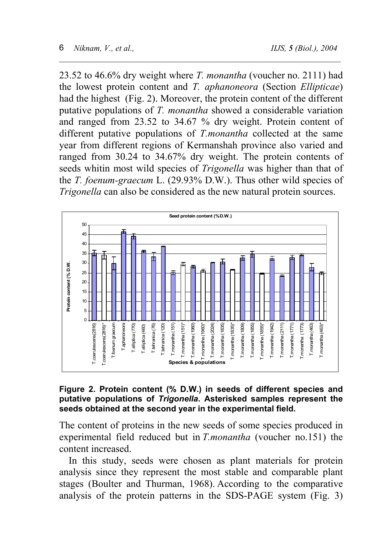23.52 to 46.6% dry weight where *T. monantha* (voucher no. 2111) had the lowest protein content and *T. aphanoneora* (Section *Ellipticae*) had the highest (Fig. 2). Moreover, the protein content of the different putative populations of *T. monantha* showed a considerable variation and ranged from 23.52 to 34.67 % dry weight. Protein content of different putative populations of *T.monantha* collected at the same year from different regions of Kermanshah province also varied and ranged from 30.24 to 34.67% dry weight. The protein contents of seeds whitin most wild species of *Trigonella* was higher than that of the *T. foenum-graecum* L. (29.93% D.W.). Thus other wild species of *Trigonella* can also be considered as the new natural protein sources.

\_\_\_\_\_\_\_\_\_\_\_\_\_\_\_\_\_\_\_\_\_\_\_\_\_\_\_\_\_\_\_\_\_\_\_\_\_\_\_\_\_\_\_\_\_\_\_\_\_\_\_\_\_\_\_\_\_\_\_\_\_\_\_\_\_\_\_



#### **Figure 2. Protein content (% D.W.) in seeds of different species and putative populations of** *Trigonella***. Asterisked samples represent the seeds obtained at the second year in the experimental field.**

The content of proteins in the new seeds of some species produced in experimental field reduced but in *T.monantha* (voucher no.151) the content increased.

 In this study, seeds were chosen as plant materials for protein analysis since they represent the most stable and comparable plant stages (Boulter and Thurman, 1968). According to the comparative analysis of the protein patterns in the SDS-PAGE system (Fig. 3)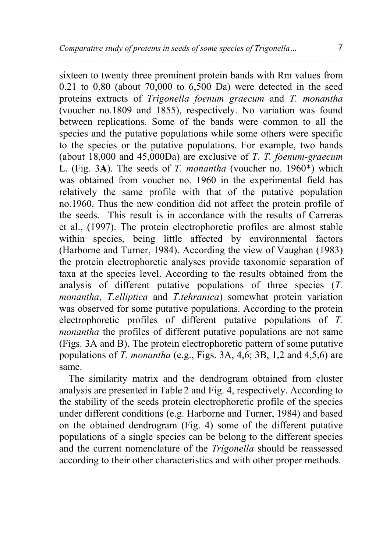$\_$  , and the set of the set of the set of the set of the set of the set of the set of the set of the set of the set of the set of the set of the set of the set of the set of the set of the set of the set of the set of th

sixteen to twenty three prominent protein bands with Rm values from 0.21 to 0.80 (about 70,000 to 6,500 Da) were detected in the seed proteins extracts of *Trigonella foenum graecum* and *T. monantha*  (voucher no.1809 and 1855), respectively. No variation was found between replications. Some of the bands were common to all the species and the putative populations while some others were specific to the species or the putative populations. For example, two bands (about 18,000 and 45,000Da) are exclusive of *T. T. foenum-graecum*  L. (Fig. 3**A**). The seeds of *T. monantha* (voucher no. 1960\*) which was obtained from voucher no. 1960 in the experimental field has relatively the same profile with that of the putative population no.1960. Thus the new condition did not affect the protein profile of the seeds. This result is in accordance with the results of Carreras et al., (1997). The protein electrophoretic profiles are almost stable within species, being little affected by environmental factors (Harborne and Turner, 1984). According the view of Vaughan (1983) the protein electrophoretic analyses provide taxonomic separation of taxa at the species level. According to the results obtained from the analysis of different putative populations of three species (*T. monantha*, *T.elliptica* and *T.tehranica*) somewhat protein variation was observed for some putative populations. According to the protein electrophoretic profiles of different putative populations of *T. monantha* the profiles of different putative populations are not same (Figs. 3A and B). The protein electrophoretic pattern of some putative populations of *T. monantha* (e.g., Figs. 3A, 4,6; 3B, 1,2 and 4,5,6) are same.

The similarity matrix and the dendrogram obtained from cluster analysis are presented in Table 2 and Fig. 4, respectively. According to the stability of the seeds protein electrophoretic profile of the species under different conditions (e.g. Harborne and Turner, 1984) and based on the obtained dendrogram (Fig. 4) some of the different putative populations of a single species can be belong to the different species and the current nomenclature of the *Trigonella* should be reassessed according to their other characteristics and with other proper methods.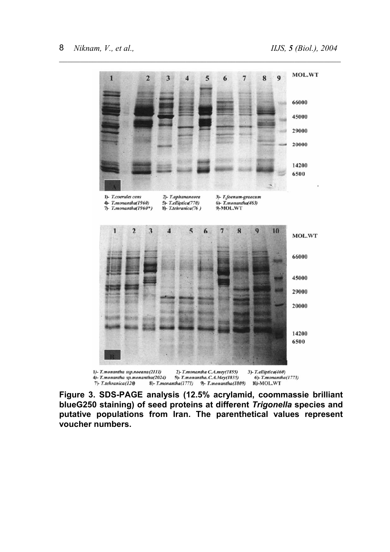

**Figure 3. SDS-PAGE analysis (12.5% acrylamid, coommassie brilliant blueG250 staining) of seed proteins at different** *Trigonella* **species and putative populations from Iran. The parenthetical values represent voucher numbers.**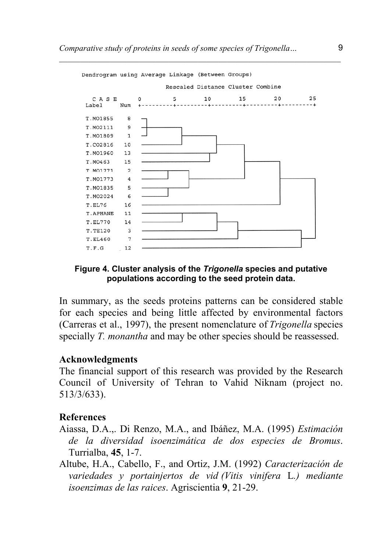

### **Figure 4. Cluster analysis of the** *Trigonella* **species and putative populations according to the seed protein data.**

In summary, as the seeds proteins patterns can be considered stable for each species and being little affected by environmental factors (Carreras et al., 1997), the present nomenclature of *Trigonella* species specially *T. monantha* and may be other species should be reassessed.

## **Acknowledgments**

The financial support of this research was provided by the Research Council of University of Tehran to Vahid Niknam (project no. 513/3/633).

# **References**

- Aiassa, D.A.,. Di Renzo, M.A., and Ibáñez, M.A. (1995) *Estimación de la diversidad isoenzimática de dos especies de Bromus*. Turrialba, **45**, 1-7.
- Altube, H.A., Cabello, F., and Ortiz, J.M. (1992) *Caracterización de variedades y portainjertos de vid (Vitis vinifera* L*.) mediante isoenzimas de las raices*. Agriscientia **9**, 21-29.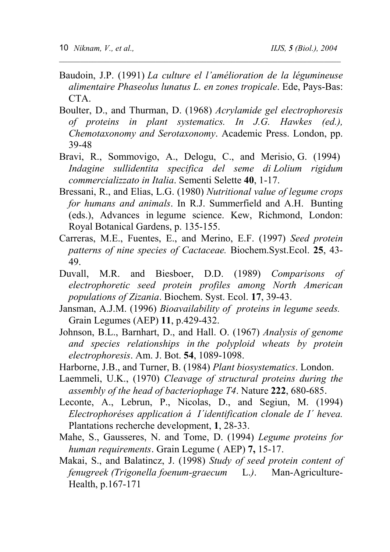Baudoin, J.P. (1991) *La culture el l'amélioration de la légumineuse alimentaire Phaseolus lunatus L. en zones tropicale*. Ede, Pays-Bas: CTA.

\_\_\_\_\_\_\_\_\_\_\_\_\_\_\_\_\_\_\_\_\_\_\_\_\_\_\_\_\_\_\_\_\_\_\_\_\_\_\_\_\_\_\_\_\_\_\_\_\_\_\_\_\_\_\_\_\_\_\_\_\_\_\_\_\_\_\_

- Boulter, D., and Thurman, D. (1968) *Acrylamide gel electrophoresis of proteins in plant systematics. In J.G. Hawkes (ed.), Chemotaxonomy and Serotaxonomy*. Academic Press. London, pp. 39-48
- Bravi, R., Sommovigo, A., Delogu, C., and Merisio, G. (1994) *Indagine sullidentita specifica del seme di Lolium rigidum commercializzato in Italia*. Sementi Selette **40**, 1-17.
- Bressani, R., and Elias, L.G. (1980) *Nutritional value of legume crops for humans and animals*. In R.J. Summerfield and A.H. Bunting (eds.), Advances in legume science. Kew, Richmond, London: Royal Botanical Gardens, p. 135-155.
- Carreras, M.E., Fuentes, E., and Merino, E.F. (1997) *Seed protein patterns of nine species of Cactaceae.* Biochem.Syst.Ecol. **25**, 43- 49.
- Duvall, M.R. and Biesboer, D.D. (1989) *Comparisons of electrophoretic seed protein profiles among North American populations of Zizania*. Biochem. Syst. Ecol. **17**, 39-43.
- Jansman, A.J.M. (1996) *Bioavailability of proteins in legume seeds.* Grain Legumes (AEP) **11**, p.429-432.
- Johnson, B.L., Barnhart, D., and Hall. O. (1967) *Analysis of genome and species relationships in the polyploid wheats by protein electrophoresis*. Am. J. Bot. **54**, 1089-1098.
- Harborne, J.B., and Turner, B. (1984) *Plant biosystematics*. London.
- Laemmeli, U.K., (1970) *Cleavage of structural proteins during the assembly of the head of bacteriophage T4*. Nature **222**, 680-685.
- Leconte, A., Lebrun, P., Nicolas, D., and Segiun, M. (1994) *Electrophoréses application á I´identification clonale de I´ hevea.* Plantations recherche development, **1**, 28-33.
- Mahe, S., Gausseres, N. and Tome, D. (1994) *Legume proteins for human requirements.* Grain Legume (AEP) 7, 15-17.
- Makai, S., and Balatincz, J. (1998) *Study of seed protein content of fenugreek (Trigonella foenum-graecum* L.*)*. Man-Agriculture-Health, p.167-171